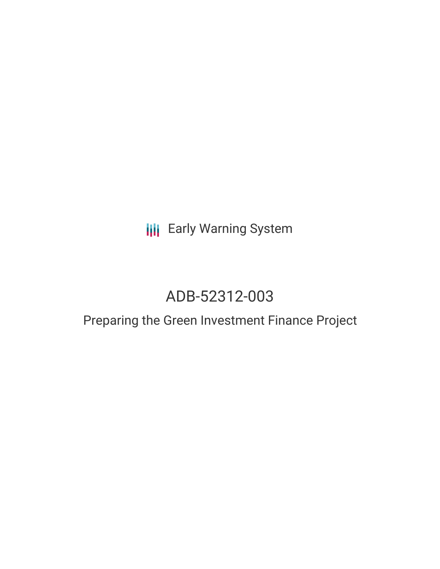## **III** Early Warning System

# ADB-52312-003

## Preparing the Green Investment Finance Project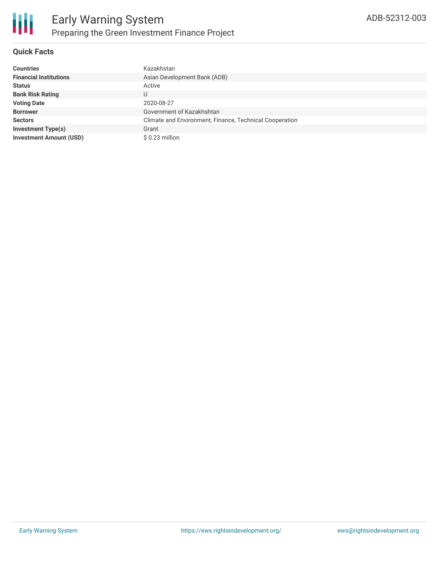

#### **Quick Facts**

| <b>Countries</b>               | Kazakhstan                                              |
|--------------------------------|---------------------------------------------------------|
| <b>Financial Institutions</b>  | Asian Development Bank (ADB)                            |
| <b>Status</b>                  | Active                                                  |
| <b>Bank Risk Rating</b>        | U                                                       |
| <b>Voting Date</b>             | 2020-08-27                                              |
| <b>Borrower</b>                | Government of Kazakhshtan                               |
| <b>Sectors</b>                 | Climate and Environment, Finance, Technical Cooperation |
| <b>Investment Type(s)</b>      | Grant                                                   |
| <b>Investment Amount (USD)</b> | $$0.23$ million                                         |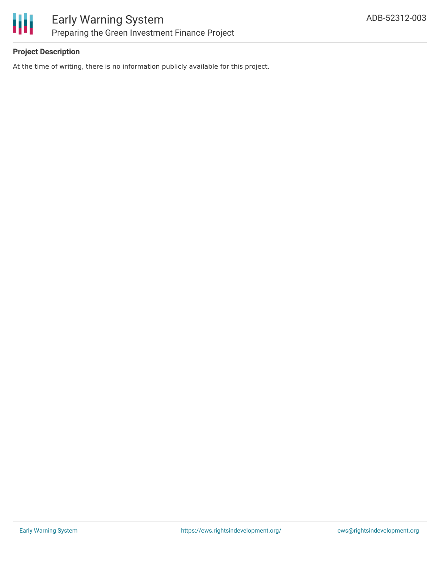

#### **Project Description**

At the time of writing, there is no information publicly available for this project.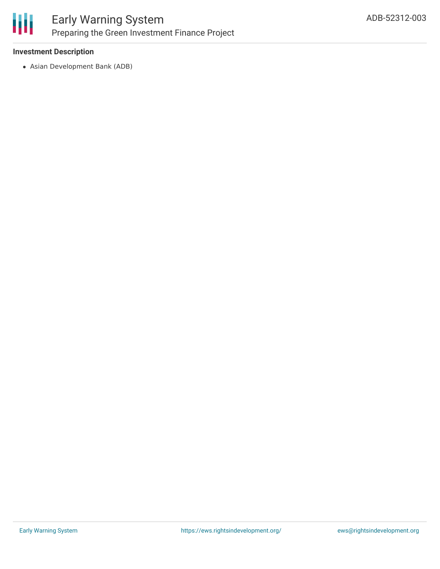

### Early Warning System Preparing the Green Investment Finance Project

#### **Investment Description**

Asian Development Bank (ADB)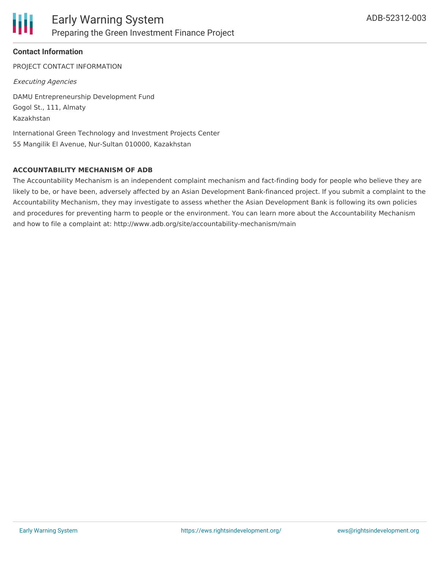

#### **Contact Information**

PROJECT CONTACT INFORMATION

Executing Agencies

DAMU Entrepreneurship Development Fund Gogol St., 111, Almaty Kazakhstan

International Green Technology and Investment Projects Center 55 Mangilik El Avenue, Nur-Sultan 010000, Kazakhstan

#### **ACCOUNTABILITY MECHANISM OF ADB**

The Accountability Mechanism is an independent complaint mechanism and fact-finding body for people who believe they are likely to be, or have been, adversely affected by an Asian Development Bank-financed project. If you submit a complaint to the Accountability Mechanism, they may investigate to assess whether the Asian Development Bank is following its own policies and procedures for preventing harm to people or the environment. You can learn more about the Accountability Mechanism and how to file a complaint at: http://www.adb.org/site/accountability-mechanism/main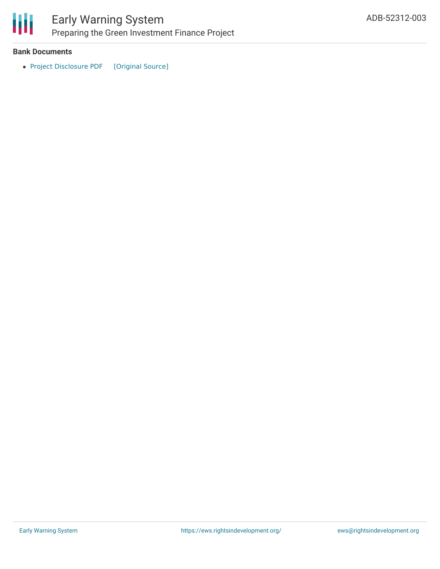

### Early Warning System Preparing the Green Investment Finance Project

#### **Bank Documents**

• Project [Disclosure](https://ewsdata.rightsindevelopment.org/files/documents/03/ADB-52312-003.pdf) PDF [\[Original](https://www.adb.org/printpdf/projects/52312-003/main) Source]